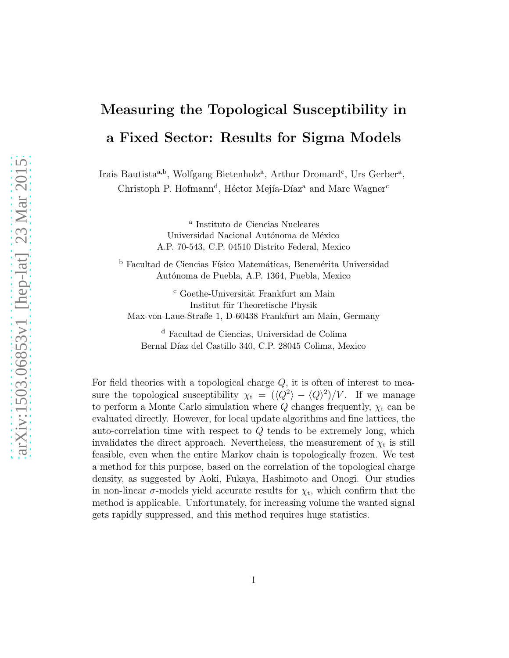# Measuring the Topological Susceptibility in a Fixed Sector: Results for Sigma Models

Irais Bautista<sup>a,b</sup>, Wolfgang Bietenholz<sup>a</sup>, Arthur Dromard<sup>c</sup>, Urs Gerber<sup>a</sup>, Christoph P. Hofmann<sup>d</sup>, Héctor Mejía-Díaz<sup>a</sup> and Marc Wagner<sup>c</sup>

> a Instituto de Ciencias Nucleares Universidad Nacional Autónoma de México A.P. 70-543, C.P. 04510 Distrito Federal, Mexico

 $^{\rm b}$  Facultad de Ciencias Físico Matemáticas, Benemérita Universidad Autónoma de Puebla, A.P. 1364, Puebla, Mexico

 $c$  Goethe-Universität Frankfurt am Main Institut für Theoretische Physik Max-von-Laue-Straße 1, D-60438 Frankfurt am Main, Germany

<sup>d</sup> Facultad de Ciencias, Universidad de Colima Bernal Díaz del Castillo 340, C.P. 28045 Colima, Mexico

For field theories with a topological charge  $Q$ , it is often of interest to measure the topological susceptibility  $\chi_t = (\langle Q^2 \rangle - \langle Q \rangle^2)/V$ . If we manage to perform a Monte Carlo simulation where Q changes frequently,  $\chi_t$  can be evaluated directly. However, for local update algorithms and fine lattices, the auto-correlation time with respect to Q tends to be extremely long, which invalidates the direct approach. Nevertheless, the measurement of  $\chi_t$  is still feasible, even when the entire Markov chain is topologically frozen. We test a method for this purpose, based on the correlation of the topological charge density, as suggested by Aoki, Fukaya, Hashimoto and Onogi. Our studies in non-linear  $\sigma$ -models yield accurate results for  $\chi_t$ , which confirm that the method is applicable. Unfortunately, for increasing volume the wanted signal gets rapidly suppressed, and this method requires huge statistics.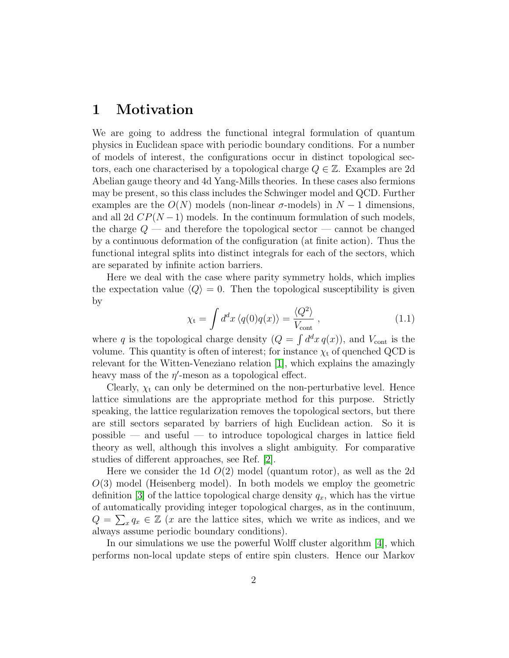#### 1 Motivation

We are going to address the functional integral formulation of quantum physics in Euclidean space with periodic boundary conditions. For a number of models of interest, the configurations occur in distinct topological sectors, each one characterised by a topological charge  $Q \in \mathbb{Z}$ . Examples are 2d Abelian gauge theory and 4d Yang-Mills theories. In these cases also fermions may be present, so this class includes the Schwinger model and QCD. Further examples are the  $O(N)$  models (non-linear  $\sigma$ -models) in  $N-1$  dimensions, and all 2d  $CP(N-1)$  models. In the continuum formulation of such models, the charge  $Q$  — and therefore the topological sector — cannot be changed by a continuous deformation of the configuration (at finite action). Thus the functional integral splits into distinct integrals for each of the sectors, which are separated by infinite action barriers.

Here we deal with the case where parity symmetry holds, which implies the expectation value  $\langle Q \rangle = 0$ . Then the topological susceptibility is given by

<span id="page-1-0"></span>
$$
\chi_{t} = \int d^{d}x \left\langle q(0)q(x) \right\rangle = \frac{\left\langle Q^{2} \right\rangle}{V_{\text{cont}}},\qquad(1.1)
$$

where q is the topological charge density  $(Q = \int d^dx q(x))$ , and  $V_{\text{cont}}$  is the volume. This quantity is often of interest; for instance  $\chi_t$  of quenched QCD is relevant for the Witten-Veneziano relation [\[1\]](#page-19-0), which explains the amazingly heavy mass of the  $\eta'$ -meson as a topological effect.

Clearly,  $\chi_t$  can only be determined on the non-perturbative level. Hence lattice simulations are the appropriate method for this purpose. Strictly speaking, the lattice regularization removes the topological sectors, but there are still sectors separated by barriers of high Euclidean action. So it is possible — and useful — to introduce topological charges in lattice field theory as well, although this involves a slight ambiguity. For comparative studies of different approaches, see Ref. [\[2\]](#page-19-1).

Here we consider the 1d  $O(2)$  model (quantum rotor), as well as the 2d  $O(3)$  model (Heisenberg model). In both models we employ the geometric definition [\[3\]](#page-19-2) of the lattice topological charge density  $q_x$ , which has the virtue of automatically providing integer topological charges, as in the continuum,  $Q = \sum_x q_x \in \mathbb{Z}$  (x are the lattice sites, which we write as indices, and we always assume periodic boundary conditions).

In our simulations we use the powerful Wolff cluster algorithm [\[4\]](#page-20-0), which performs non-local update steps of entire spin clusters. Hence our Markov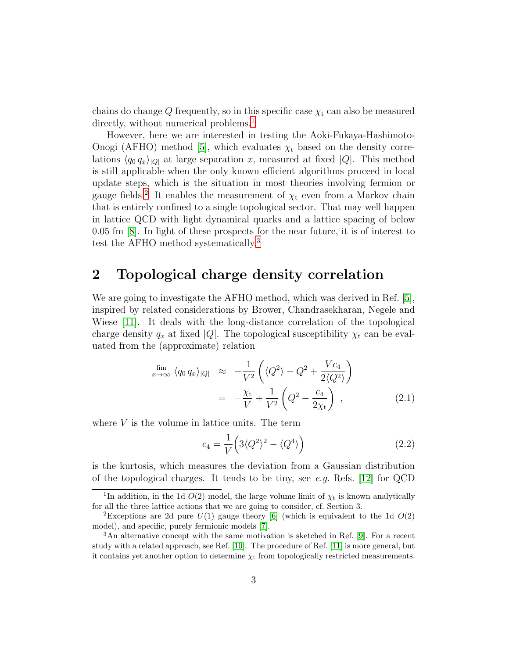chains do change Q frequently, so in this specific case  $\chi_t$  can also be measured directly, without numerical problems.<sup>[1](#page-2-0)</sup>

However, here we are interested in testing the Aoki-Fukaya-Hashimoto-Onogi (AFHO) method [\[5\]](#page-20-1), which evaluates  $\chi_t$  based on the density correlations  $\langle q_0 q_x \rangle_{|Q|}$  at large separation x, measured at fixed  $|Q|$ . This method is still applicable when the only known efficient algorithms proceed in local update steps, which is the situation in most theories involving fermion or gauge fields.<sup>[2](#page-2-1)</sup> It enables the measurement of  $\chi_t$  even from a Markov chain that is entirely confined to a single topological sector. That may well happen in lattice QCD with light dynamical quarks and a lattice spacing of below 0.05 fm [\[8\]](#page-20-2). In light of these prospects for the near future, it is of interest to test the AFHO method systematically.[3](#page-2-2)

#### 2 Topological charge density correlation

We are going to investigate the AFHO method, which was derived in Ref. [\[5\]](#page-20-1), inspired by related considerations by Brower, Chandrasekharan, Negele and Wiese [\[11\]](#page-20-3). It deals with the long-distance correlation of the topological charge density  $q_x$  at fixed |Q|. The topological susceptibility  $\chi_t$  can be evaluated from the (approximate) relation

<span id="page-2-3"></span>
$$
\lim_{x \to \infty} \langle q_0 q_x \rangle_{|Q|} \approx -\frac{1}{V^2} \left( \langle Q^2 \rangle - Q^2 + \frac{V c_4}{2 \langle Q^2 \rangle} \right)
$$

$$
= -\frac{\chi_t}{V} + \frac{1}{V^2} \left( Q^2 - \frac{c_4}{2 \chi_t} \right) , \qquad (2.1)
$$

where  $V$  is the volume in lattice units. The term

<span id="page-2-4"></span>
$$
c_4 = \frac{1}{V} \left( 3 \langle Q^2 \rangle^2 - \langle Q^4 \rangle \right) \tag{2.2}
$$

is the kurtosis, which measures the deviation from a Gaussian distribution of the topological charges. It tends to be tiny, see e.g. Refs. [\[12\]](#page-20-4) for QCD

<span id="page-2-0"></span><sup>&</sup>lt;sup>1</sup>In addition, in the 1d  $O(2)$  model, the large volume limit of  $\chi_t$  is known analytically for all the three lattice actions that we are going to consider, cf. Section 3.

<span id="page-2-1"></span><sup>&</sup>lt;sup>2</sup>Exceptions are 2d pure  $U(1)$  gauge theory [\[6\]](#page-20-5) (which is equivalent to the 1d  $O(2)$ model), and specific, purely fermionic models [\[7\]](#page-20-6).

<span id="page-2-2"></span><sup>3</sup>An alternative concept with the same motivation is sketched in Ref. [\[9\]](#page-20-7). For a recent study with a related approach, see Ref. [\[10\]](#page-20-8). The procedure of Ref. [\[11\]](#page-20-3) is more general, but it contains yet another option to determine  $\chi_t$  from topologically restricted measurements.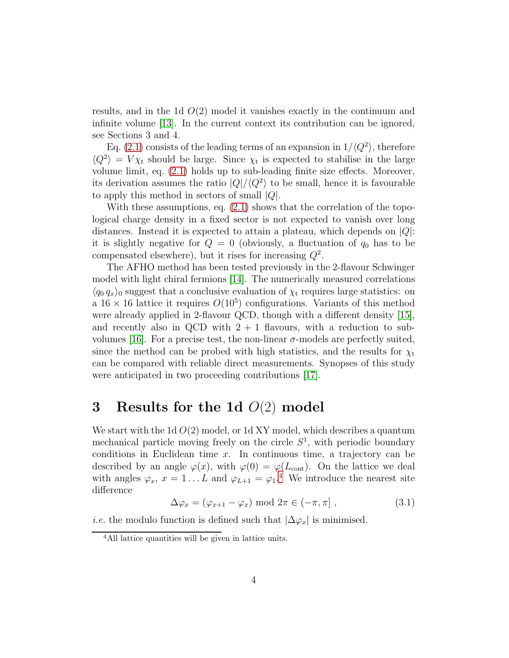results, and in the 1d  $O(2)$  model it vanishes exactly in the continuum and infinite volume [\[13\]](#page-20-9). In the current context its contribution can be ignored, see Sections 3 and 4.

Eq. [\(2.1\)](#page-2-3) consists of the leading terms of an expansion in  $1/\langle Q^2 \rangle$ , therefore  $\langle Q^2 \rangle = V \chi_t$  should be large. Since  $\chi_t$  is expected to stabilise in the large volume limit, eq. [\(2.1\)](#page-2-3) holds up to sub-leading finite size effects. Moreover, its derivation assumes the ratio  $|Q|/\langle Q^2 \rangle$  to be small, hence it is favourable to apply this method in sectors of small  $|Q|$ .

With these assumptions, eq.  $(2.1)$  shows that the correlation of the topological charge density in a fixed sector is not expected to vanish over long distances. Instead it is expected to attain a plateau, which depends on  $|Q|$ : it is slightly negative for  $Q = 0$  (obviously, a fluctuation of  $q_0$  has to be compensated elsewhere), but it rises for increasing  $Q^2$ .

The AFHO method has been tested previously in the 2-flavour Schwinger model with light chiral fermions [\[14\]](#page-20-10). The numerically measured correlations  $\langle q_0 q_x \rangle$  suggest that a conclusive evaluation of  $\chi$ <sub>t</sub> requires large statistics: on a  $16 \times 16$  lattice it requires  $O(10^5)$  configurations. Variants of this method were already applied in 2-flavour QCD, though with a different density [\[15\]](#page-20-11), and recently also in QCD with  $2 + 1$  flavours, with a reduction to sub-volumes [\[16\]](#page-20-12). For a precise test, the non-linear  $σ$ -models are perfectly suited, since the method can be probed with high statistics, and the results for  $\chi_t$ can be compared with reliable direct measurements. Synopses of this study were anticipated in two proceeding contributions [\[17\]](#page-20-13).

#### 3 Results for the 1d  $O(2)$  model

We start with the 1d  $O(2)$  model, or 1d XY model, which describes a quantum mechanical particle moving freely on the circle  $S<sup>1</sup>$ , with periodic boundary conditions in Euclidean time  $x$ . In continuous time, a trajectory can be described by an angle  $\varphi(x)$ , with  $\varphi(0) = \varphi(L_{\text{cont}})$ . On the lattice we deal with angles  $\varphi_x$ ,  $x = 1...L$  and  $\varphi_{L+1} = \varphi_1$ .<sup>[4](#page-3-0)</sup> We introduce the nearest site difference

$$
\Delta \varphi_x = (\varphi_{x+1} - \varphi_x) \text{ mod } 2\pi \in (-\pi, \pi], \qquad (3.1)
$$

*i.e.* the modulo function is defined such that  $|\Delta \varphi_x|$  is minimised.

<span id="page-3-0"></span><sup>4</sup>All lattice quantities will be given in lattice units.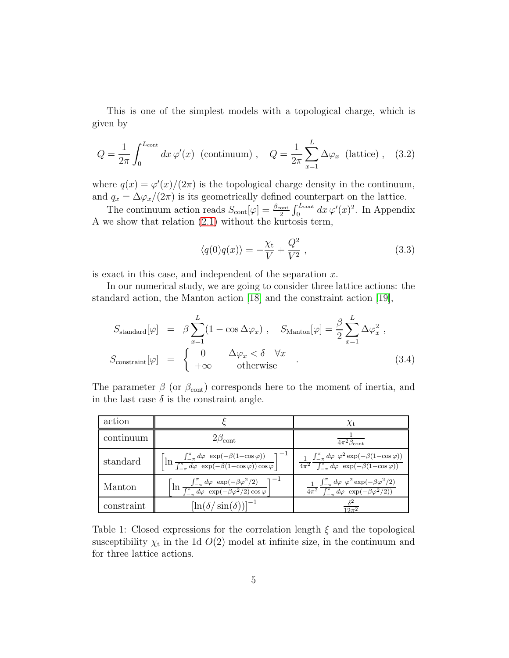This is one of the simplest models with a topological charge, which is given by

<span id="page-4-2"></span>
$$
Q = \frac{1}{2\pi} \int_0^{L_{\text{cont}}} dx \,\varphi'(x) \text{ (continuum)}, \quad Q = \frac{1}{2\pi} \sum_{x=1}^L \Delta \varphi_x \text{ (lattice)}, \quad (3.2)
$$

where  $q(x) = \varphi'(x)/(2\pi)$  is the topological charge density in the continuum, and  $q_x = \Delta \varphi_x/(2\pi)$  is its geometrically defined counterpart on the lattice.

The continuum action reads  $S_{\text{cont}}[\varphi] = \frac{\beta_{\text{cont}}}{2} \int_0^{L_{\text{cont}}} dx \, \varphi'(x)^2$ . In Appendix A we show that relation [\(2.1\)](#page-2-3) without the kurtosis term,

<span id="page-4-0"></span>
$$
\langle q(0)q(x)\rangle = -\frac{\chi_{\rm t}}{V} + \frac{Q^2}{V^2} \,,\tag{3.3}
$$

is exact in this case, and independent of the separation  $x$ .

In our numerical study, we are going to consider three lattice actions: the standard action, the Manton action [\[18\]](#page-21-0) and the constraint action [\[19\]](#page-21-1),

<span id="page-4-3"></span>
$$
S_{\text{standard}}[\varphi] = \beta \sum_{x=1}^{L} (1 - \cos \Delta \varphi_x), \quad S_{\text{Manton}}[\varphi] = \frac{\beta}{2} \sum_{x=1}^{L} \Delta \varphi_x^2,
$$
  

$$
S_{\text{constraint}}[\varphi] = \begin{cases} 0 & \Delta \varphi_x < \delta \quad \forall x \\ +\infty & \text{otherwise} \end{cases} (3.4)
$$

The parameter  $\beta$  (or  $\beta_{\text{cont}}$ ) corresponds here to the moment of inertia, and in the last case  $\delta$  is the constraint angle.

| action     |                                                                                                                                                           | $\chi_{\rm t}$                                                                                                                                  |
|------------|-----------------------------------------------------------------------------------------------------------------------------------------------------------|-------------------------------------------------------------------------------------------------------------------------------------------------|
| continuum  | $2\beta_{\rm cont}$                                                                                                                                       | $4\pi^2\beta_{\rm cont}$                                                                                                                        |
| standard   | $\left[\ln \frac{\int_{-\pi}^{\pi} d\varphi \exp(-\beta(1-\cos\varphi))}{\int_{-\pi}^{\pi} d\varphi \exp(-\beta(1-\cos\varphi)) \cos\varphi}\right]^{-1}$ | $\int_{-\pi}^{\pi} d\varphi \varphi^2 \exp(-\beta(1-\cos \varphi))$<br>$\frac{4\pi^2}{\int_{-\pi}^{\pi} d\varphi} \exp(-\beta(1-\cos \varphi))$ |
| Manton     | $\left[\ln \frac{\int_{-\pi}^{\pi} d\varphi \exp(-\beta \varphi^2/2)}{\int_{-\pi}^{\pi} d\varphi \exp(-\beta \varphi^2/2) \cos \varphi}\right]$           | $\int_{-\pi}^{\pi} d\varphi \varphi^2 \exp(-\beta \varphi^2/2)$<br>$\sqrt{4\pi^2} \int_{-\pi}^{\pi} d\varphi \exp(-\beta \varphi^2/2)$          |
| constraint | $[\ln(\delta/\sin(\delta))]^{-1}$                                                                                                                         | $19\pi^2$                                                                                                                                       |

<span id="page-4-1"></span>Table 1: Closed expressions for the correlation length  $\xi$  and the topological susceptibility  $\chi_t$  in the 1d  $O(2)$  model at infinite size, in the continuum and for three lattice actions.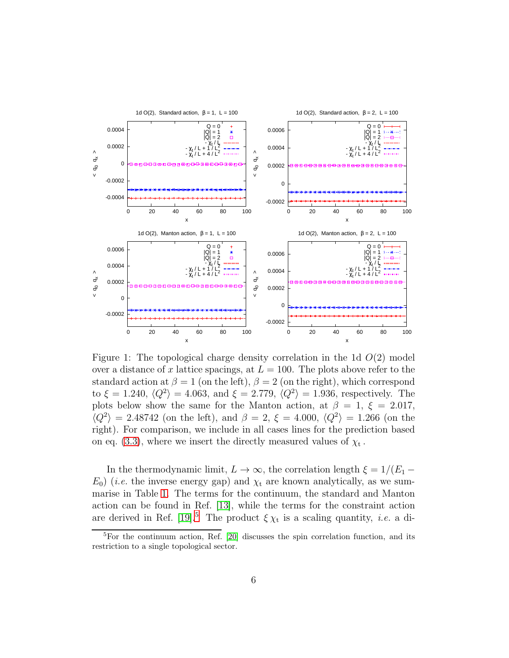

<span id="page-5-1"></span>Figure 1: The topological charge density correlation in the 1d  $O(2)$  model over a distance of x lattice spacings, at  $L = 100$ . The plots above refer to the standard action at  $\beta = 1$  (on the left),  $\beta = 2$  (on the right), which correspond to  $\xi = 1.240, \langle Q^2 \rangle = 4.063, \text{ and } \xi = 2.779, \langle Q^2 \rangle = 1.936, \text{ respectively. The}$ plots below show the same for the Manton action, at  $\beta = 1, \xi = 2.017$ ,  $\langle Q^2 \rangle = 2.48742$  (on the left), and  $\beta = 2$ ,  $\xi = 4.000$ ,  $\langle Q^2 \rangle = 1.266$  (on the right). For comparison, we include in all cases lines for the prediction based on eq. [\(3.3\)](#page-4-0), where we insert the directly measured values of  $\chi_{\rm t}$ .

In the thermodynamic limit,  $L \to \infty$ , the correlation length  $\xi = 1/(E_1 E_0$ ) (*i.e.* the inverse energy gap) and  $\chi_t$  are known analytically, as we summarise in Table [1.](#page-4-1) The terms for the continuum, the standard and Manton action can be found in Ref. [\[13\]](#page-20-9), while the terms for the constraint action are derived in Ref. [\[19\]](#page-21-1).<sup>[5](#page-5-0)</sup> The product  $\xi \chi_t$  is a scaling quantity, *i.e.* a di-

<span id="page-5-0"></span><sup>&</sup>lt;sup>5</sup>For the continuum action, Ref. [\[20\]](#page-21-2) discusses the spin correlation function, and its restriction to a single topological sector.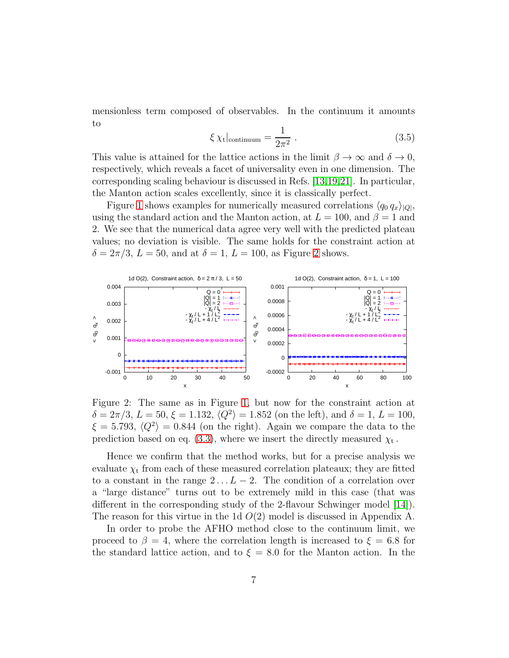mensionless term composed of observables. In the continuum it amounts to

$$
\xi \chi_{\rm t}|_{\rm continuum} = \frac{1}{2\pi^2} \,. \tag{3.5}
$$

This value is attained for the lattice actions in the limit  $\beta \to \infty$  and  $\delta \to 0$ , respectively, which reveals a facet of universality even in one dimension. The corresponding scaling behaviour is discussed in Refs. [\[13,](#page-20-9)[19,](#page-21-1)[21\]](#page-21-3). In particular, the Manton action scales excellently, since it is classically perfect.

Figure [1](#page-5-1) shows examples for numerically measured correlations  $\langle q_0 q_x \rangle_{|Q|}$ , using the standard action and the Manton action, at  $L = 100$ , and  $\beta = 1$  and 2. We see that the numerical data agree very well with the predicted plateau values; no deviation is visible. The same holds for the constraint action at  $\delta = 2\pi/3$  $\delta = 2\pi/3$  $\delta = 2\pi/3$ ,  $L = 50$ , and at  $\delta = 1$ ,  $L = 100$ , as Figure 2 shows.



<span id="page-6-0"></span>Figure 2: The same as in Figure [1,](#page-5-1) but now for the constraint action at  $\delta = 2\pi/3, L = 50, \xi = 1.132, \langle Q^2 \rangle = 1.852$  (on the left), and  $\delta = 1, L = 100$ ,  $\xi = 5.793, \langle Q^2 \rangle = 0.844$  (on the right). Again we compare the data to the prediction based on eq. [\(3.3\)](#page-4-0), where we insert the directly measured  $\chi_{\rm t}$ .

Hence we confirm that the method works, but for a precise analysis we evaluate  $\chi_t$  from each of these measured correlation plateaux; they are fitted to a constant in the range  $2 \ldots L - 2$ . The condition of a correlation over a "large distance" turns out to be extremely mild in this case (that was different in the corresponding study of the 2-flavour Schwinger model [\[14\]](#page-20-10)). The reason for this virtue in the 1d  $O(2)$  model is discussed in Appendix A.

In order to probe the AFHO method close to the continuum limit, we proceed to  $\beta = 4$ , where the correlation length is increased to  $\xi = 6.8$  for the standard lattice action, and to  $\xi = 8.0$  for the Manton action. In the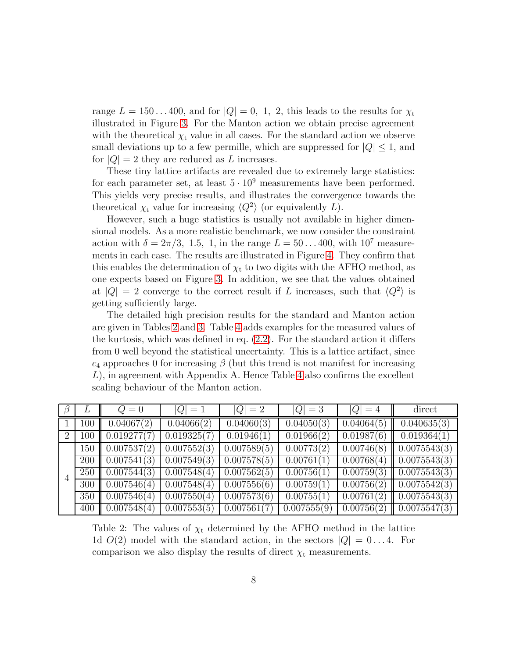range  $L = 150...400$ , and for  $|Q| = 0, 1, 2$ , this leads to the results for  $\chi_t$ illustrated in Figure [3.](#page-8-0) For the Manton action we obtain precise agreement with the theoretical  $\chi_t$  value in all cases. For the standard action we observe small deviations up to a few permille, which are suppressed for  $|Q| \leq 1$ , and for  $|Q| = 2$  they are reduced as L increases.

These tiny lattice artifacts are revealed due to extremely large statistics: for each parameter set, at least  $5 \cdot 10^9$  measurements have been performed. This yields very precise results, and illustrates the convergence towards the theoretical  $\chi_t$  value for increasing  $\langle Q^2 \rangle$  (or equivalently L).

However, such a huge statistics is usually not available in higher dimensional models. As a more realistic benchmark, we now consider the constraint action with  $\delta = 2\pi/3$ , 1.5, 1, in the range  $L = 50...400$ , with  $10^7$  measurements in each case. The results are illustrated in Figure [4.](#page-9-0) They confirm that this enables the determination of  $\chi_t$  to two digits with the AFHO method, as one expects based on Figure [3.](#page-8-0) In addition, we see that the values obtained at  $|Q| = 2$  converge to the correct result if L increases, such that  $\langle Q^2 \rangle$  is getting sufficiently large.

The detailed high precision results for the standard and Manton action are given in Tables [2](#page-7-0) and [3.](#page-10-0) Table [4](#page-10-1) adds examples for the measured values of the kurtosis, which was defined in eq. [\(2.2\)](#page-2-4). For the standard action it differs from 0 well beyond the statistical uncertainty. This is a lattice artifact, since  $c_4$  approaches 0 for increasing  $\beta$  (but this trend is not manifest for increasing  $L$ ), in agreement with Appendix A. Hence Table [4](#page-10-1) also confirms the excellent scaling behaviour of the Manton action.

|                |     | $Q=0$       | $ Q =1$     | $ Q  = 2$   | $ Q =3$     | $ Q =4$                 | direct                   |
|----------------|-----|-------------|-------------|-------------|-------------|-------------------------|--------------------------|
|                | 100 | 0.04067(2)  | 0.04066(2)  | 0.04060(3)  | 0.04050(3)  | $\overline{0.04064(5)}$ | 0.040635(3)              |
| $\overline{2}$ | 100 | 0.019277(7) | 0.019325(7) | 0.01946(1)  | 0.01966(2)  | 0.01987(6)              | 0.019364(1)              |
| $\overline{4}$ | 150 | 0.007537(2) | 0.007552(3) | 0.007589(5) | 0.00773(2)  | $\sqrt{0.00746(8)}$     | $\parallel$ 0.0075543(3) |
|                | 200 | 0.007541(3) | 0.007549(3) | 0.007578(5) | 0.00761(1)  | 0.00768(4)              | $\parallel 0.0075543(3)$ |
|                | 250 | 0.007544(3) | 0.007548(4) | 0.007562(5) | 0.00756(1)  | 0.00759(3)              | $\parallel 0.0075543(3)$ |
|                | 300 | 0.007546(4) | 0.007548(4) | 0.007556(6) | 0.00759(1)  | 0.00756(2)              | $\parallel 0.0075542(3)$ |
|                | 350 | 0.007546(4) | 0.007550(4) | 0.007573(6) | 0.00755(1)  | 0.00761(2)              | $\parallel 0.0075543(3)$ |
|                | 400 | 0.007548(4) | 0.007553(5) | 0.007561(7) | 0.007555(9) | $\overline{0.007}56(2)$ | $\parallel 0.0075547(3)$ |

<span id="page-7-0"></span>Table 2: The values of  $\chi_t$  determined by the AFHO method in the lattice 1d  $O(2)$  model with the standard action, in the sectors  $|Q| = 0...4$ . For comparison we also display the results of direct  $\chi_t$  measurements.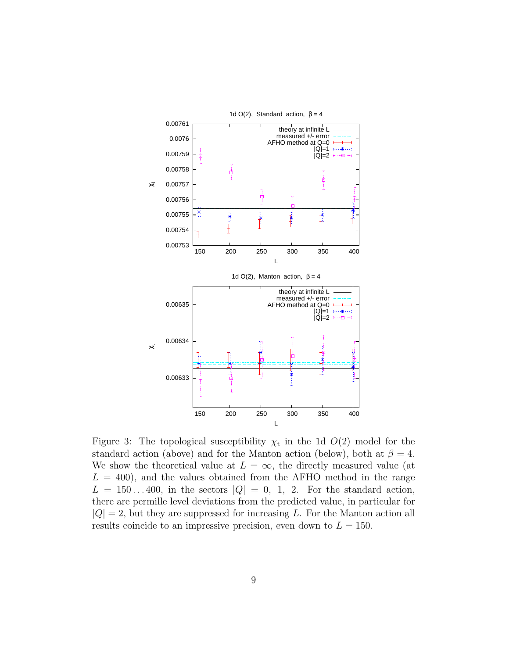

<span id="page-8-0"></span>Figure 3: The topological susceptibility  $\chi_t$  in the 1d  $O(2)$  model for the standard action (above) and for the Manton action (below), both at  $\beta = 4$ . We show the theoretical value at  $L = \infty$ , the directly measured value (at  $L = 400$ , and the values obtained from the AFHO method in the range  $L = 150...400$ , in the sectors  $|Q| = 0$ , 1, 2. For the standard action, there are permille level deviations from the predicted value, in particular for  $|Q| = 2$ , but they are suppressed for increasing L. For the Manton action all results coincide to an impressive precision, even down to  $L = 150$ .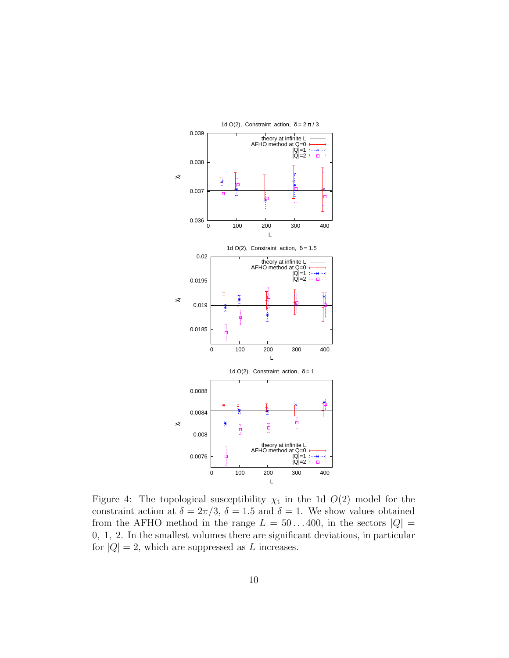

<span id="page-9-0"></span>Figure 4: The topological susceptibility  $\chi_t$  in the 1d  $O(2)$  model for the constraint action at  $\delta = 2\pi/3$ ,  $\delta = 1.5$  and  $\delta = 1$ . We show values obtained from the AFHO method in the range  $L = 50...400$ , in the sectors  $|Q| =$ 0, 1, 2. In the smallest volumes there are significant deviations, in particular for  $|Q| = 2$ , which are suppressed as L increases.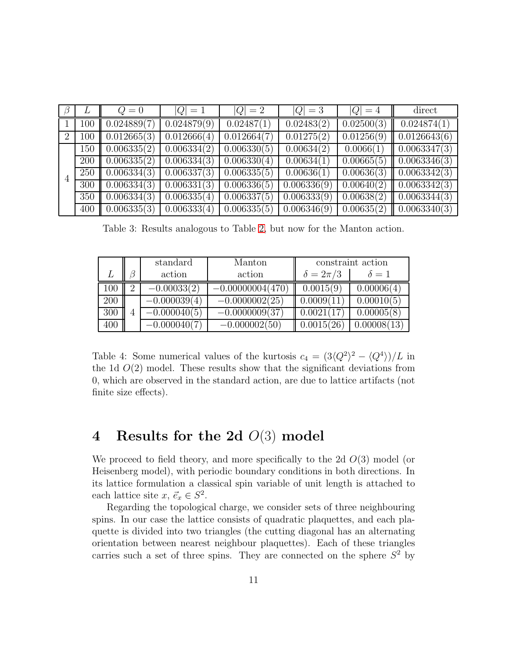|   | $L \parallel$ | $Q=0$                  | $ Q  = 1$   | $ Q  = 2$   | $ Q  = 3$   | $ Q =4$    | direct                                        |
|---|---------------|------------------------|-------------|-------------|-------------|------------|-----------------------------------------------|
|   |               | $100$ 0.024889(7)      | 0.024879(9) | 0.02487(1)  | 0.02483(2)  | 0.02500(3) | 0.024874(1)                                   |
| 2 |               | $100 \mid 0.012665(3)$ | 0.012666(4) | 0.012664(7) | 0.01275(2)  |            | $0.01256(9)$ 0.0126643(6)                     |
|   |               | 150   0.006335(2)      | 0.006334(2) | 0.006330(5) | 0.00634(2)  |            | $0.0066(1)$ 0.0063347(3)                      |
|   |               | $200$ 0.006335(2)      | 0.006334(3) | 0.006330(4) | 0.00634(1)  |            | $0.00665(5)$ 0.0063346(3)                     |
|   |               | $250$ 0.006334(3)      | 0.006337(3) | 0.006335(5) | 0.00636(1)  |            | $\mid 0.00636(3) \mid \mid 0.0063342(3) \mid$ |
|   |               | $300$ 0.006334(3)      | 0.006331(3) | 0.006336(5) | 0.006336(9) |            | $\mid 0.00640(2) \mid \mid 0.0063342(3) \mid$ |
|   |               | 350   0.006334(3)      | 0.006335(4) | 0.006337(5) | 0.006333(9) |            | $0.00638(2)$ 0.0063344(3)                     |
|   |               | $400$ 0.006335(3)      | 0.006333(4) | 0.006335(5) | 0.006346(9) |            | $\boxed{0.00635(2) \parallel 0.0063340(3)}$   |

<span id="page-10-0"></span>Table 3: Results analogous to Table [2,](#page-7-0) but now for the Manton action.

|     | standard       | Manton             | constraint action |              |
|-----|----------------|--------------------|-------------------|--------------|
|     | action         | action             | $\delta = 2\pi/3$ | $\delta = 1$ |
| 100 | $-0.00033(2)$  | $-0.00000004(470)$ | 0.0015(9)         | 0.00006(4)   |
| 200 | $-0.000039(4)$ | $-0.0000002(25)$   | 0.0009(11)        | 0.00010(5)   |
| 300 | $-0.000040(5)$ | $-0.0000009(37)$   | 0.0021            | 0.00005(8)   |
| 400 | $-0.000040(7$  | $-0.000002(50)$    | 0.0015(26)        | 0.00008(13)  |

<span id="page-10-1"></span>Table 4: Some numerical values of the kurtosis  $c_4 = (3\langle Q^2 \rangle^2 - \langle Q^4 \rangle)/L$  in the 1d  $O(2)$  model. These results show that the significant deviations from 0, which are observed in the standard action, are due to lattice artifacts (not finite size effects).

#### 4 Results for the 2d O(3) model

We proceed to field theory, and more specifically to the 2d  $O(3)$  model (or Heisenberg model), with periodic boundary conditions in both directions. In its lattice formulation a classical spin variable of unit length is attached to each lattice site  $x, \, \vec{e}_x \in S^2$ .

Regarding the topological charge, we consider sets of three neighbouring spins. In our case the lattice consists of quadratic plaquettes, and each plaquette is divided into two triangles (the cutting diagonal has an alternating orientation between nearest neighbour plaquettes). Each of these triangles carries such a set of three spins. They are connected on the sphere  $S^2$  by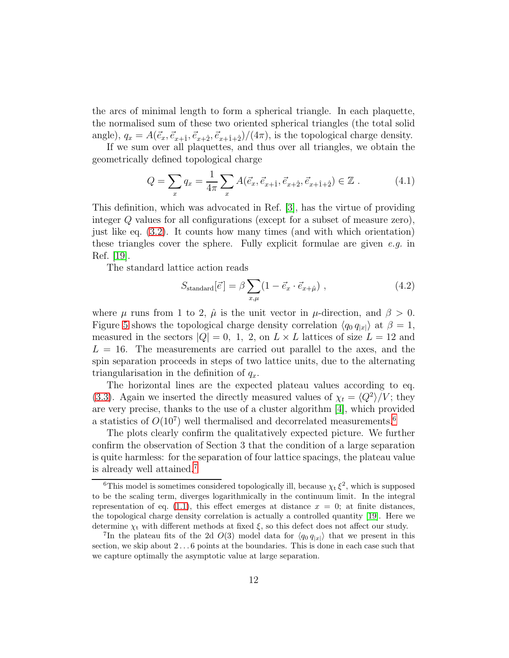the arcs of minimal length to form a spherical triangle. In each plaquette, the normalised sum of these two oriented spherical triangles (the total solid angle),  $q_x = A(\vec{e}_x, \vec{e}_{x+1}, \vec{e}_{x+2}, \vec{e}_{x+1+2})/(4\pi)$ , is the topological charge density.

If we sum over all plaquettes, and thus over all triangles, we obtain the geometrically defined topological charge

$$
Q = \sum_{x} q_x = \frac{1}{4\pi} \sum_{x} A(\vec{e}_x, \vec{e}_{x+\hat{1}}, \vec{e}_{x+\hat{2}}, \vec{e}_{x+\hat{1}+\hat{2}}) \in \mathbb{Z} . \tag{4.1}
$$

This definition, which was advocated in Ref. [\[3\]](#page-19-2), has the virtue of providing integer Q values for all configurations (except for a subset of measure zero), just like eq. [\(3.2\)](#page-4-2). It counts how many times (and with which orientation) these triangles cover the sphere. Fully explicit formulae are given  $e, q$  in Ref. [\[19\]](#page-21-1).

The standard lattice action reads

$$
S_{\text{standard}}[\vec{e}] = \beta \sum_{x,\mu} (1 - \vec{e}_x \cdot \vec{e}_{x+\hat{\mu}}) , \qquad (4.2)
$$

where  $\mu$  runs from 1 to 2,  $\hat{\mu}$  is the unit vector in  $\mu$ -direction, and  $\beta > 0$ . Figure [5](#page-12-0) shows the topological charge density correlation  $\langle q_0 q_{|x|} \rangle$  at  $\beta = 1$ , measured in the sectors  $|Q| = 0$ , 1, 2, on  $L \times L$  lattices of size  $L = 12$  and  $L = 16$ . The measurements are carried out parallel to the axes, and the spin separation proceeds in steps of two lattice units, due to the alternating triangularisation in the definition of  $q_x$ .

The horizontal lines are the expected plateau values according to eq. [\(3.3\)](#page-4-0). Again we inserted the directly measured values of  $\chi_t = \langle Q^2 \rangle / V$ ; they are very precise, thanks to the use of a cluster algorithm [\[4\]](#page-20-0), which provided a statistics of  $O(10^7)$  well thermalised and decorrelated measurements.<sup>[6](#page-11-0)</sup>

The plots clearly confirm the qualitatively expected picture. We further confirm the observation of Section 3 that the condition of a large separation is quite harmless: for the separation of four lattice spacings, the plateau value is already well attained.[7](#page-11-1)

<span id="page-11-0"></span><sup>&</sup>lt;sup>6</sup>This model is sometimes considered topologically ill, because  $\chi_t \xi^2$ , which is supposed to be the scaling term, diverges logarithmically in the continuum limit. In the integral representation of eq. [\(1.1\)](#page-1-0), this effect emerges at distance  $x = 0$ ; at finite distances, the topological charge density correlation is actually a controlled quantity [\[19\]](#page-21-1). Here we determine  $\chi_t$  with different methods at fixed  $\xi$ , so this defect does not affect our study.

<span id="page-11-1"></span><sup>&</sup>lt;sup>7</sup>In the plateau fits of the 2d  $O(3)$  model data for  $\langle q_0 q_{|x|} \rangle$  that we present in this section, we skip about  $2 \ldots 6$  points at the boundaries. This is done in each case such that we capture optimally the asymptotic value at large separation.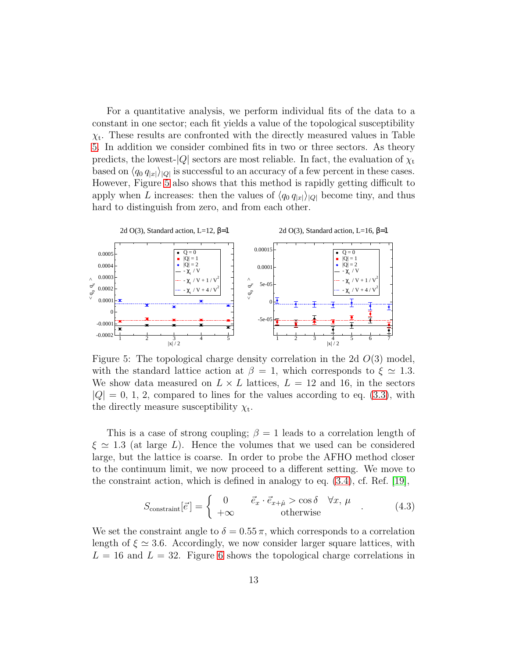For a quantitative analysis, we perform individual fits of the data to a constant in one sector; each fit yields a value of the topological susceptibility  $\chi_{t}$ . These results are confronted with the directly measured values in Table [5.](#page-13-0) In addition we consider combined fits in two or three sectors. As theory predicts, the lowest- $|Q|$  sectors are most reliable. In fact, the evaluation of  $\chi_t$ based on  $\langle q_0 q_{|x|} \rangle_{|Q|}$  is successful to an accuracy of a few percent in these cases. However, Figure [5](#page-12-0) also shows that this method is rapidly getting difficult to apply when L increases: then the values of  $\langle q_0 q_{|x|}\rangle_{|Q|}$  become tiny, and thus hard to distinguish from zero, and from each other.



<span id="page-12-0"></span>Figure 5: The topological charge density correlation in the 2d  $O(3)$  model, with the standard lattice action at  $\beta = 1$ , which corresponds to  $\xi \simeq 1.3$ . We show data measured on  $L \times L$  lattices,  $L = 12$  and 16, in the sectors  $|Q| = 0, 1, 2$ , compared to lines for the values according to eq. [\(3.3\)](#page-4-0), with the directly measure susceptibility  $\chi_t$ .

This is a case of strong coupling;  $\beta = 1$  leads to a correlation length of  $\xi \simeq 1.3$  (at large L). Hence the volumes that we used can be considered large, but the lattice is coarse. In order to probe the AFHO method closer to the continuum limit, we now proceed to a different setting. We move to the constraint action, which is defined in analogy to eq. [\(3.4\)](#page-4-3), cf. Ref. [\[19\]](#page-21-1),

$$
S_{\text{constraint}}[\vec{e}] = \begin{cases} 0 & \vec{e}_x \cdot \vec{e}_{x+\hat{\mu}} > \cos \delta \quad \forall x, \mu \\ +\infty & \text{otherwise} \end{cases} (4.3)
$$

We set the constraint angle to  $\delta = 0.55 \pi$ , which corresponds to a correlation length of  $\xi \simeq 3.6$ . Accordingly, we now consider larger square lattices, with  $L = 16$  and  $L = 32$ . Figure [6](#page-13-1) shows the topological charge correlations in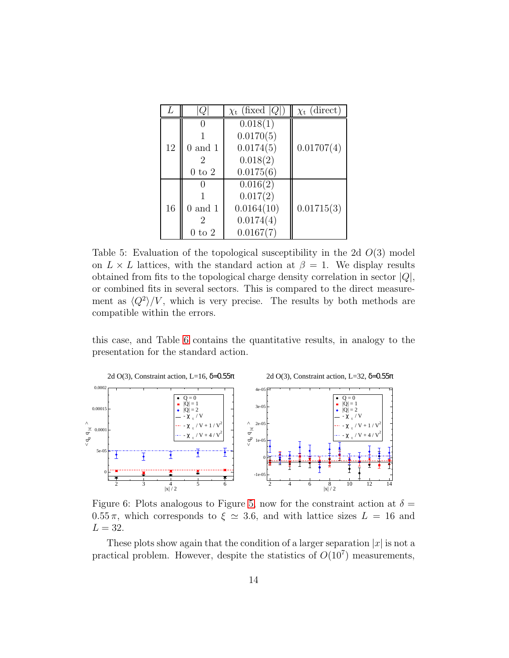|    | Q                 | $\chi_{\rm t}$ (fixed  Q ) | $\chi_{t}$ (direct) |
|----|-------------------|----------------------------|---------------------|
|    |                   | 0.018(1)                   |                     |
|    |                   | 0.0170(5)                  |                     |
| 12 | $0$ and $1$       | 0.0174(5)                  | 0.01707(4)          |
|    |                   | 0.018(2)                   |                     |
|    | $0 \text{ to } 2$ | 0.0175(6)                  |                     |
|    |                   | 0.016(2)                   |                     |
|    |                   | 0.017(2)                   |                     |
| 16 | $0$ and $1$       | 0.0164(10)                 | 0.01715(3)          |
|    |                   | 0.0174(4)                  |                     |
|    | to $2$            | 0.0167(7)                  |                     |

<span id="page-13-0"></span>Table 5: Evaluation of the topological susceptibility in the 2d  $O(3)$  model on  $L \times L$  lattices, with the standard action at  $\beta = 1$ . We display results obtained from fits to the topological charge density correlation in sector  $|Q|$ , or combined fits in several sectors. This is compared to the direct measurement as  $\langle Q^2 \rangle/V$ , which is very precise. The results by both methods are compatible within the errors.

this case, and Table [6](#page-14-0) contains the quantitative results, in analogy to the presentation for the standard action.



<span id="page-13-1"></span>Figure 6: Plots analogous to Figure [5,](#page-12-0) now for the constraint action at  $\delta =$  $0.55\,\pi$ , which corresponds to  $\xi \simeq 3.6$ , and with lattice sizes  $L = 16$  and  $L=32.$ 

These plots show again that the condition of a larger separation  $|x|$  is not a practical problem. However, despite the statistics of  $O(10^7)$  measurements,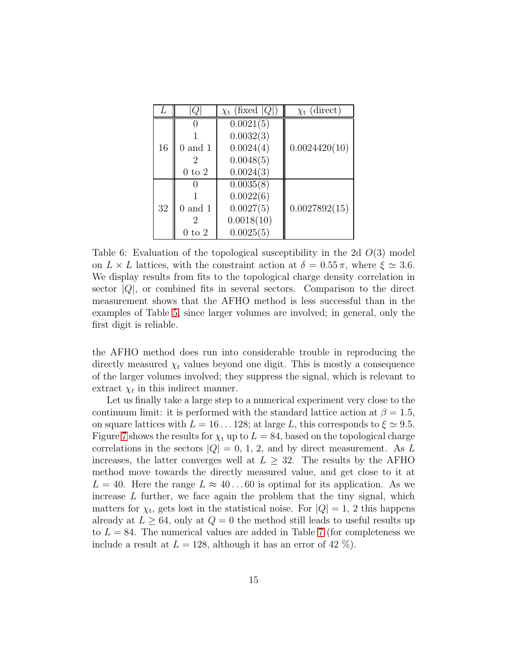|    | Ų                 | $\chi_{\rm t}$ (fixed  Q ) | $\chi_{t}$ (direct) |
|----|-------------------|----------------------------|---------------------|
|    |                   | 0.0021(5)                  |                     |
|    |                   | 0.0032(3)                  |                     |
| 16 | $0$ and $1$       | 0.0024(4)                  | 0.0024420(10)       |
|    |                   | 0.0048(5)                  |                     |
|    | $0 \text{ to } 2$ | 0.0024(3)                  |                     |
|    |                   | 0.0035(8)                  |                     |
|    |                   | 0.0022(6)                  |                     |
| 32 | $0$ and $1$       | 0.0027(5)                  | 0.0027892(15)       |
|    |                   | 0.0018(10)                 |                     |
|    | to $2$            | 0.0025(5)                  |                     |

<span id="page-14-0"></span>Table 6: Evaluation of the topological susceptibility in the 2d  $O(3)$  model on  $L \times L$  lattices, with the constraint action at  $\delta = 0.55 \pi$ , where  $\xi \simeq 3.6$ . We display results from fits to the topological charge density correlation in sector  $|Q|$ , or combined fits in several sectors. Comparison to the direct measurement shows that the AFHO method is less successful than in the examples of Table [5,](#page-13-0) since larger volumes are involved; in general, only the first digit is reliable.

the AFHO method does run into considerable trouble in reproducing the directly measured  $\chi_t$  values beyond one digit. This is mostly a consequence of the larger volumes involved; they suppress the signal, which is relevant to extract  $\chi_t$  in this indirect manner.

Let us finally take a large step to a numerical experiment very close to the continuum limit: it is performed with the standard lattice action at  $\beta = 1.5$ , on square lattices with  $L = 16 \dots 128$ ; at large L, this corresponds to  $\xi \approx 9.5$ . Figure [7](#page-15-0) shows the results for  $\chi_t$  up to  $L = 84$ , based on the topological charge correlations in the sectors  $|Q| = 0, 1, 2$ , and by direct measurement. As L increases, the latter converges well at  $L \geq 32$ . The results by the AFHO method move towards the directly measured value, and get close to it at  $L = 40$ . Here the range  $L \approx 40...60$  is optimal for its application. As we increase  $L$  further, we face again the problem that the tiny signal, which matters for  $\chi_t$ , gets lost in the statistical noise. For  $|Q|=1$ , 2 this happens already at  $L \geq 64$ , only at  $Q = 0$  the method still leads to useful results up to  $L = 84$ . The numerical values are added in Table [7](#page-16-0) (for completeness we include a result at  $L = 128$ , although it has an error of 42 %).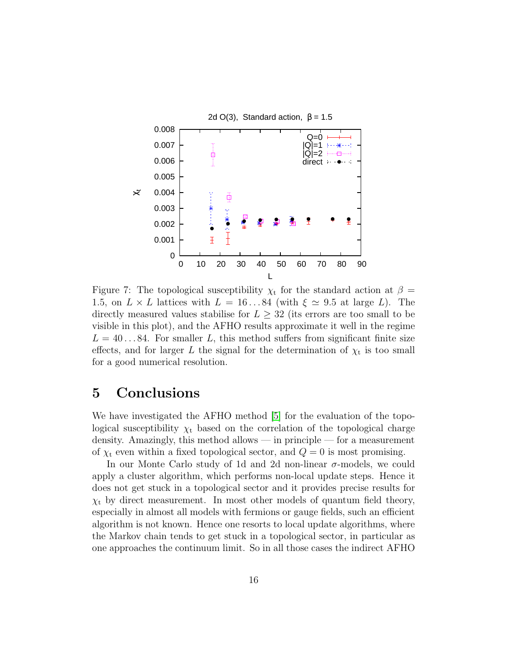

<span id="page-15-0"></span>Figure 7: The topological susceptibility  $\chi_t$  for the standard action at  $\beta =$ 1.5, on  $L \times L$  lattices with  $L = 16...84$  (with  $\xi \approx 9.5$  at large L). The directly measured values stabilise for  $L \geq 32$  (its errors are too small to be visible in this plot), and the AFHO results approximate it well in the regime  $L = 40...84$ . For smaller L, this method suffers from significant finite size effects, and for larger L the signal for the determination of  $\chi_t$  is too small for a good numerical resolution.

#### 5 Conclusions

We have investigated the AFHO method [\[5\]](#page-20-1) for the evaluation of the topological susceptibility  $\chi_t$  based on the correlation of the topological charge density. Amazingly, this method allows — in principle — for a measurement of  $\chi_t$  even within a fixed topological sector, and  $Q = 0$  is most promising.

In our Monte Carlo study of 1d and 2d non-linear  $\sigma$ -models, we could apply a cluster algorithm, which performs non-local update steps. Hence it does not get stuck in a topological sector and it provides precise results for  $\chi_t$  by direct measurement. In most other models of quantum field theory, especially in almost all models with fermions or gauge fields, such an efficient algorithm is not known. Hence one resorts to local update algorithms, where the Markov chain tends to get stuck in a topological sector, in particular as one approaches the continuum limit. So in all those cases the indirect AFHO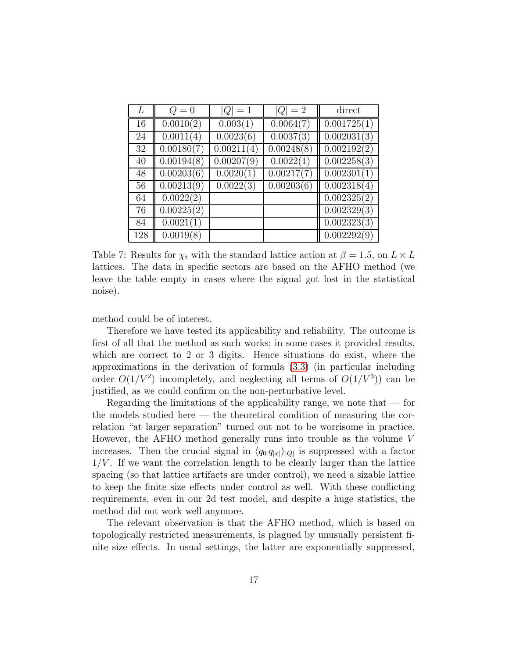|     | $Q=0$      | $ Q =1$    | $ Q =2$    | direct                   |
|-----|------------|------------|------------|--------------------------|
| 16  | 0.0010(2)  | 0.003(1)   | 0.0064(7)  | 0.001725(1)              |
| 24  | 0.0011(4)  | 0.0023(6)  | 0.0037(3)  | 0.002031(3)              |
| 32  | 0.00180(7) | 0.00211(4) | 0.00248(8) | 0.002192(2)              |
| 40  | 0.00194(8) | 0.00207(9) | 0.0022(1)  | 0.002258(3)              |
| 48  | 0.00203(6) | 0.0020(1)  | 0.00217(7) | $\overline{0.002}301(1)$ |
| 56  | 0.00213(9) | 0.0022(3)  | 0.00203(6) | 0.002318(4)              |
| 64  | 0.0022(2)  |            |            | 0.002325(2)              |
| 76  | 0.00225(2) |            |            | 0.002329(3)              |
| 84  | 0.0021(1)  |            |            | 0.002323(3)              |
| 128 | 0.0019(8)  |            |            | 0.002292(9)              |

<span id="page-16-0"></span>Table 7: Results for  $\chi_t$  with the standard lattice action at  $\beta = 1.5$ , on  $L \times L$ lattices. The data in specific sectors are based on the AFHO method (we leave the table empty in cases where the signal got lost in the statistical noise).

method could be of interest.

Therefore we have tested its applicability and reliability. The outcome is first of all that the method as such works; in some cases it provided results, which are correct to 2 or 3 digits. Hence situations do exist, where the approximations in the derivation of formula [\(3.3\)](#page-4-0) (in particular including order  $O(1/V^2)$  incompletely, and neglecting all terms of  $O(1/V^3)$  can be justified, as we could confirm on the non-perturbative level.

Regarding the limitations of the applicability range, we note that  $-$  for the models studied here — the theoretical condition of measuring the correlation "at larger separation" turned out not to be worrisome in practice. However, the AFHO method generally runs into trouble as the volume V increases. Then the crucial signal in  $\langle q_0 q_{|x|} \rangle_{|Q|}$  is suppressed with a factor  $1/V$ . If we want the correlation length to be clearly larger than the lattice spacing (so that lattice artifacts are under control), we need a sizable lattice to keep the finite size effects under control as well. With these conflicting requirements, even in our 2d test model, and despite a huge statistics, the method did not work well anymore.

The relevant observation is that the AFHO method, which is based on topologically restricted measurements, is plagued by unusually persistent finite size effects. In usual settings, the latter are exponentially suppressed,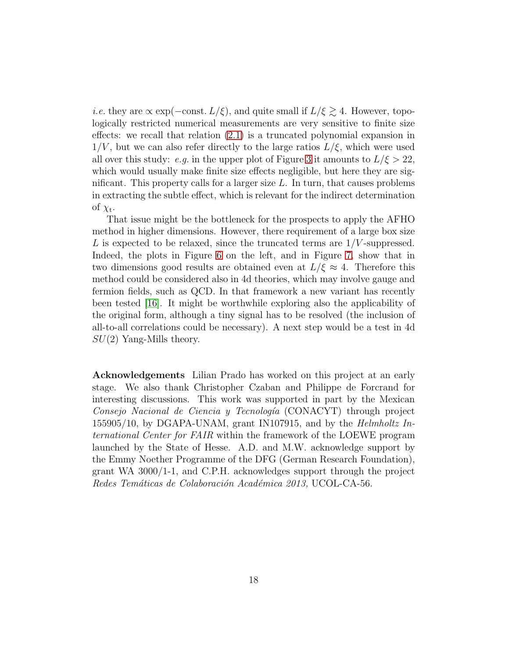*i.e.* they are  $\propto$  exp( $-\text{const.} L/\xi$ ), and quite small if  $L/\xi \gtrsim 4$ . However, topologically restricted numerical measurements are very sensitive to finite size effects: we recall that relation [\(2.1\)](#page-2-3) is a truncated polynomial expansion in  $1/V$ , but we can also refer directly to the large ratios  $L/\xi$ , which were used all over this study: e.g. in the upper plot of Figure [3](#page-8-0) it amounts to  $L/\xi > 22$ , which would usually make finite size effects negligible, but here they are significant. This property calls for a larger size  $L$ . In turn, that causes problems in extracting the subtle effect, which is relevant for the indirect determination of  $\chi_{\rm t}$ .

That issue might be the bottleneck for the prospects to apply the AFHO method in higher dimensions. However, there requirement of a large box size L is expected to be relaxed, since the truncated terms are  $1/V$ -suppressed. Indeed, the plots in Figure [6](#page-13-1) on the left, and in Figure [7,](#page-15-0) show that in two dimensions good results are obtained even at  $L/\xi \approx 4$ . Therefore this method could be considered also in 4d theories, which may involve gauge and fermion fields, such as QCD. In that framework a new variant has recently been tested [\[16\]](#page-20-12). It might be worthwhile exploring also the applicability of the original form, although a tiny signal has to be resolved (the inclusion of all-to-all correlations could be necessary). A next step would be a test in 4d  $SU(2)$  Yang-Mills theory.

Acknowledgements Lilian Prado has worked on this project at an early stage. We also thank Christopher Czaban and Philippe de Forcrand for interesting discussions. This work was supported in part by the Mexican Consejo Nacional de Ciencia y Tecnología (CONACYT) through project 155905/10, by DGAPA-UNAM, grant IN107915, and by the Helmholtz International Center for FAIR within the framework of the LOEWE program launched by the State of Hesse. A.D. and M.W. acknowledge support by the Emmy Noether Programme of the DFG (German Research Foundation), grant WA 3000/1-1, and C.P.H. acknowledges support through the project Redes Temáticas de Colaboración Académica 2013, UCOL-CA-56.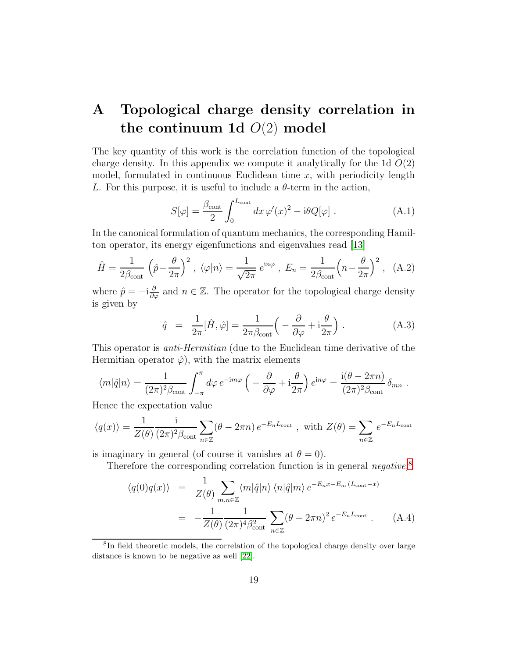## A Topological charge density correlation in the continuum 1d  $O(2)$  model

The key quantity of this work is the correlation function of the topological charge density. In this appendix we compute it analytically for the 1d  $O(2)$ model, formulated in continuous Euclidean time  $x$ , with periodicity length L. For this purpose, it is useful to include a  $\theta$ -term in the action,

$$
S[\varphi] = \frac{\beta_{\text{cont}}}{2} \int_0^{L_{\text{cont}}} dx \,\varphi'(x)^2 - i\theta Q[\varphi] \ . \tag{A.1}
$$

In the canonical formulation of quantum mechanics, the corresponding Hamilton operator, its energy eigenfunctions and eigenvalues read [\[13\]](#page-20-9)

$$
\hat{H} = \frac{1}{2\beta_{\text{cont}}} \left( \hat{p} - \frac{\theta}{2\pi} \right)^2, \ \langle \varphi | n \rangle = \frac{1}{\sqrt{2\pi}} e^{\text{i}n\varphi}, \ E_n = \frac{1}{2\beta_{\text{cont}}} \left( n - \frac{\theta}{2\pi} \right)^2, \ \ (A.2)
$$

where  $\hat{p} = -i \frac{\partial}{\partial \varphi}$  and  $n \in \mathbb{Z}$ . The operator for the topological charge density is given by

$$
\hat{q} = \frac{1}{2\pi} [\hat{H}, \hat{\varphi}] = \frac{1}{2\pi \beta_{\text{cont}}} \left( -\frac{\partial}{\partial \varphi} + i \frac{\theta}{2\pi} \right). \tag{A.3}
$$

This operator is anti-Hermitian (due to the Euclidean time derivative of the Hermitian operator  $\hat{\varphi}$ , with the matrix elements

$$
\langle m|\hat{q}|n\rangle = \frac{1}{(2\pi)^2 \beta_{\text{cont}}} \int_{-\pi}^{\pi} d\varphi \, e^{-im\varphi} \left( -\frac{\partial}{\partial \varphi} + i \frac{\theta}{2\pi} \right) e^{in\varphi} = \frac{i(\theta - 2\pi n)}{(2\pi)^2 \beta_{\text{cont}}} \delta_{mn}.
$$

Hence the expectation value

$$
\langle q(x) \rangle = \frac{1}{Z(\theta)} \frac{i}{(2\pi)^2 \beta_{\text{cont}}} \sum_{n \in \mathbb{Z}} (\theta - 2\pi n) e^{-E_n L_{\text{cont}}}, \text{ with } Z(\theta) = \sum_{n \in \mathbb{Z}} e^{-E_n L_{\text{cont}}}
$$

is imaginary in general (of course it vanishes at  $\theta = 0$ ).

Therefore the corresponding correlation function is in general negative,<sup>[8](#page-18-0)</sup>

$$
\langle q(0)q(x) \rangle = \frac{1}{Z(\theta)} \sum_{m,n \in \mathbb{Z}} \langle m|\hat{q}|n \rangle \langle n|\hat{q}|m \rangle e^{-E_n x - E_m (L_{\text{cont}} - x)}
$$
  
= 
$$
-\frac{1}{Z(\theta)} \frac{1}{(2\pi)^4 \beta_{\text{cont}}^2} \sum_{n \in \mathbb{Z}} (\theta - 2\pi n)^2 e^{-E_n L_{\text{cont}}} . \tag{A.4}
$$

<span id="page-18-0"></span><sup>&</sup>lt;sup>8</sup>In field theoretic models, the correlation of the topological charge density over large distance is known to be negative as well [\[22\]](#page-21-4).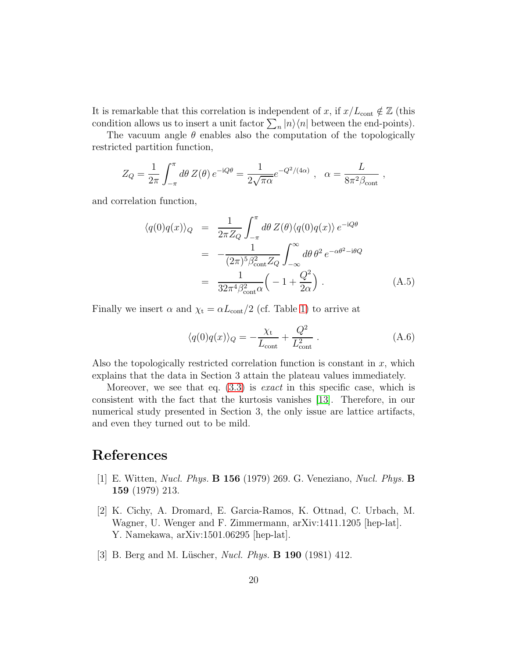It is remarkable that this correlation is independent of x, if  $x/L_{\text{cont}} \notin \mathbb{Z}$  (this condition allows us to insert a unit factor  $\sum_{n} |n\rangle\langle n|$  between the end-points).

The vacuum angle  $\theta$  enables also the computation of the topologically restricted partition function,

$$
Z_Q = \frac{1}{2\pi} \int_{-\pi}^{\pi} d\theta \, Z(\theta) \, e^{-iQ\theta} = \frac{1}{2\sqrt{\pi\alpha}} e^{-Q^2/(4\alpha)} \, , \quad \alpha = \frac{L}{8\pi^2 \beta_{\text{cont}}} \, ,
$$

and correlation function,

$$
\langle q(0)q(x)\rangle_Q = \frac{1}{2\pi Z_Q} \int_{-\pi}^{\pi} d\theta \, Z(\theta) \langle q(0)q(x)\rangle \, e^{-iQ\theta}
$$

$$
= -\frac{1}{(2\pi)^5 \beta_{\text{cont}}^2 Z_Q} \int_{-\infty}^{\infty} d\theta \, \theta^2 \, e^{-\alpha \theta^2 - i\theta Q}
$$

$$
= \frac{1}{32\pi^4 \beta_{\text{cont}}^2 \alpha} \left( -1 + \frac{Q^2}{2\alpha} \right). \tag{A.5}
$$

Finally we insert  $\alpha$  and  $\chi_t = \alpha L_{\text{cont}}/2$  (cf. Table [1\)](#page-4-1) to arrive at

$$
\langle q(0)q(x)\rangle_Q = -\frac{\chi_{\rm t}}{L_{\rm cont}} + \frac{Q^2}{L_{\rm cont}^2} \ . \tag{A.6}
$$

Also the topologically restricted correlation function is constant in  $x$ , which explains that the data in Section 3 attain the plateau values immediately.

Moreover, we see that eq.  $(3.3)$  is *exact* in this specific case, which is consistent with the fact that the kurtosis vanishes [\[13\]](#page-20-9). Therefore, in our numerical study presented in Section 3, the only issue are lattice artifacts, and even they turned out to be mild.

### <span id="page-19-0"></span>References

- [1] E. Witten, Nucl. Phys. B 156 (1979) 269. G. Veneziano, Nucl. Phys. B 159 (1979) 213.
- <span id="page-19-1"></span>[2] K. Cichy, A. Dromard, E. Garcia-Ramos, K. Ottnad, C. Urbach, M. Wagner, U. Wenger and F. Zimmermann, arXiv:1411.1205 [hep-lat]. Y. Namekawa, arXiv:1501.06295 [hep-lat].
- <span id="page-19-2"></span>[3] B. Berg and M. Lüscher, *Nucl. Phys.* **B 190** (1981) 412.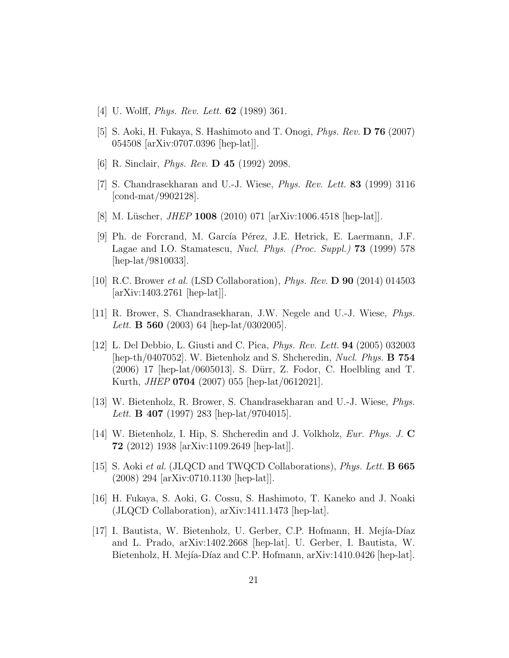- <span id="page-20-1"></span><span id="page-20-0"></span>[4] U. Wolff, Phys. Rev. Lett. 62 (1989) 361.
- <span id="page-20-5"></span>[5] S. Aoki, H. Fukaya, S. Hashimoto and T. Onogi, Phys. Rev. D 76 (2007) 054508 [arXiv:0707.0396 [hep-lat]].
- <span id="page-20-6"></span>[6] R. Sinclair, Phys. Rev. D 45 (1992) 2098.
- <span id="page-20-2"></span>[7] S. Chandrasekharan and U.-J. Wiese, Phys. Rev. Lett. 83 (1999) 3116 [cond-mat/9902128].
- <span id="page-20-7"></span>[8] M. Lüscher, *JHEP* 1008 (2010) 071 [arXiv:1006.4518 [hep-lat]].
- [9] Ph. de Forcrand, M. García Pérez, J.E. Hetrick, E. Laermann, J.F. Lagae and I.O. Stamatescu, Nucl. Phys. (Proc. Suppl.) 73 (1999) 578 [hep-lat/9810033].
- <span id="page-20-8"></span><span id="page-20-3"></span>[10] R.C. Brower et al. (LSD Collaboration), Phys. Rev. D 90 (2014) 014503 [arXiv:1403.2761 [hep-lat]].
- <span id="page-20-4"></span>[11] R. Brower, S. Chandrasekharan, J.W. Negele and U.-J. Wiese, Phys. Lett. **B 560** (2003) 64 [hep-lat/0302005].
- [12] L. Del Debbio, L. Giusti and C. Pica, Phys. Rev. Lett. 94 (2005) 032003 [hep-th/0407052]. W. Bietenholz and S. Shcheredin, Nucl. Phys. B 754 (2006) 17 [hep-lat/0605013]. S. Dürr, Z. Fodor, C. Hoelbling and T. Kurth, JHEP 0704 (2007) 055 [hep-lat/0612021].
- <span id="page-20-9"></span>[13] W. Bietenholz, R. Brower, S. Chandrasekharan and U.-J. Wiese, Phys. Lett. **B** 407 (1997) 283 [hep-lat/9704015].
- <span id="page-20-10"></span>[14] W. Bietenholz, I. Hip, S. Shcheredin and J. Volkholz, Eur. Phys. J. C 72 (2012) 1938 [arXiv:1109.2649 [hep-lat]].
- <span id="page-20-11"></span>[15] S. Aoki et al. (JLQCD and TWQCD Collaborations), Phys. Lett. B 665 (2008) 294 [arXiv:0710.1130 [hep-lat]].
- <span id="page-20-12"></span>[16] H. Fukaya, S. Aoki, G. Cossu, S. Hashimoto, T. Kaneko and J. Noaki (JLQCD Collaboration), arXiv:1411.1473 [hep-lat].
- <span id="page-20-13"></span>[17] I. Bautista, W. Bietenholz, U. Gerber, C.P. Hofmann, H. Mejía-Díaz and L. Prado, arXiv:1402.2668 [hep-lat]. U. Gerber, I. Bautista, W. Bietenholz, H. Mejía-Díaz and C.P. Hofmann, arXiv:1410.0426 [hep-lat].